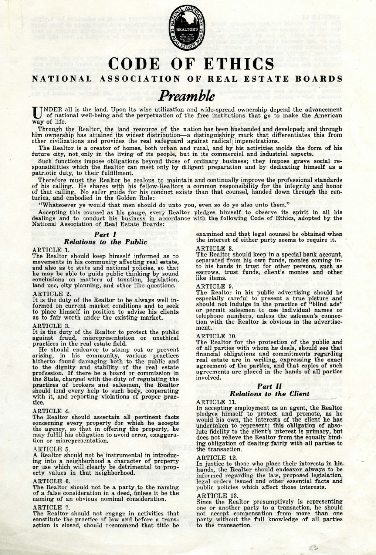

# CODE OF ETHICS

# NATIONAL ASSOCIATION OF REAL ESTATE BOARDS

# *Preamble*

UNDER all is the land. Upon its wise utilization and wide-spread ownership depend the advancement<br>of national well-being and the perpetuation of the free institutions that go to make the American way of life.

Through the Realtor, the land resource of the nation has been husbanded and developed; and through him ownership has attained its widest distribution-a distinguishing mark that differentiates this from other civilizations and provides the real safeguard against radical impenetrations.

The Realtor is a creator of homes, both urban and rural, and by his activities molds the form of his future city, not only in the living of its people, but in its commercial and industrial aspects.

Such functions impose obligations beyond those of ordinary business; they impose grave social re-<br>sponsibilities which the Realtor can meet only by diligent preparation and by dedicating himself as a<br>patriotic duty, to the

Therefore must the Realtor be zealous to maintain and continually improve the professional standards of his calling. He shares with his fellow-Realtors a common responsibility for the integrity and honor<br>of that calling. No safer guide for his conduct exists than that counsel, handed down through the cen-<br>turies, and embo

"Whatsoever ye would that men should do unto you, even so do ye also unto them."

Accepting this counsel as his gauge, every Realtor pledges himself to observe its spirit in all his dealings and to conduct his business in accordance with the following Code of Ethics, adopted by the<br>National Association of Real Estate Boards:

# *Part* I

# *Relations to the Public*

ARTICLE 1.

The Realtor should keep himself informed as to movements in his community affecting real estate, and also as to state and national policies, so that he may be able to guide public thinking by sound conclusions on matters of taxation, legislation, land use, city planning, and other like questions.

### ARTICLE 2.

It is the duty of the Realtor to be always well in-formed on current market conditions and to seek to place himself in position to advise his clients as to fair worth under the existing market.

### ARTICLE 3.

It is the duty of the Realtor to protect the public against fraud, misrepresentation or unethical practices in the real estate field.

He should endeavor to stamp out or prevent arising, in his community, various practices hitherto found damaging both to the public and to the dignity and stability of the real estate profession. If there be a board or commission in the State, charged with the duty of regulating the practices of brokers and salesmen, the Realtor should lend every help to such body, cooperating<br>with it, and reporting violations of proper practice.

## ARTICLE 4.

The Realtor should ascertain all pertinent facts concerning every property for which he accepts<br>the agency, so that in offering the property, he<br>may fulfill his obligation to avoid error, exaggeration or misrepresentation.

# ARTICLE 5.

A Realtor should not be instrumental in introducing into a neighborhood a character of property or use which will clearly be detrimental to property values in that neighborhood.

# ARTICLE 6.

The Realtor should not be a party to the naming<br>of a false consideration in a deed, unless it be the naming of an obvious nominal consideration.

# ARTICLE 7.

The Realtor should not engage in activities that constitute the practice of law and before a transaction is closed, should recommend that title be

examined and that legal counsel be obtained when the interest of either party seems to require it.

ARTICLE 8. The Realtor should keep in a special bank account, separated from his own funds, monies coming into his hands in trust for other persons, such as escrows, trust funds, client's monies and other like items.

# ARTICLE 9.

The Realtor in his public advertising should be especially careful to present a true picture and should not indulge in the practice of "blind ads" or permit salesmen to use individual names or telephone numbers, unless the salemen's connection with the Realtor is obvious in the advertisetion with the Realtor is obvious in the advertisement.

# ARTICLE 10.

The Realtor for the protection of the public and of all parties with whom he deals, should see that financial obligations and commitments regarding real estate are in writing, expressing the exact agreement of the parties, and that copies of such agreements are placed in the hands of all parties involved.

# *Part* II

# *'Relations to the Client*

## ARTICLE 11.

In accepting employment as an agent, the Realtor<br>pledges, himself, to protect, and promote, as he<br>would his own, the interests of the client he has undertaken to represent; this obligation of absolute fidelity to the client's interest is primary, but does not relieve the Realtor from the equally binding obligation of dealing fairly with all parties to the transaction.

### ARTICLE 12.

In justice to those who place their interests in his. hands, the Realtor should endeavor always to be informed regarding- the law, proposed legislation, legal orders issued and other essential facts and public policies which affect those interests.

ARTICLE 13.<br>Since the Realtor presumptively is representing Since the Realtor presumptively is representing one or another party to a' transaction, he should not accept compensation from more than one party without the full knowledge of all parties to the transaction.

3